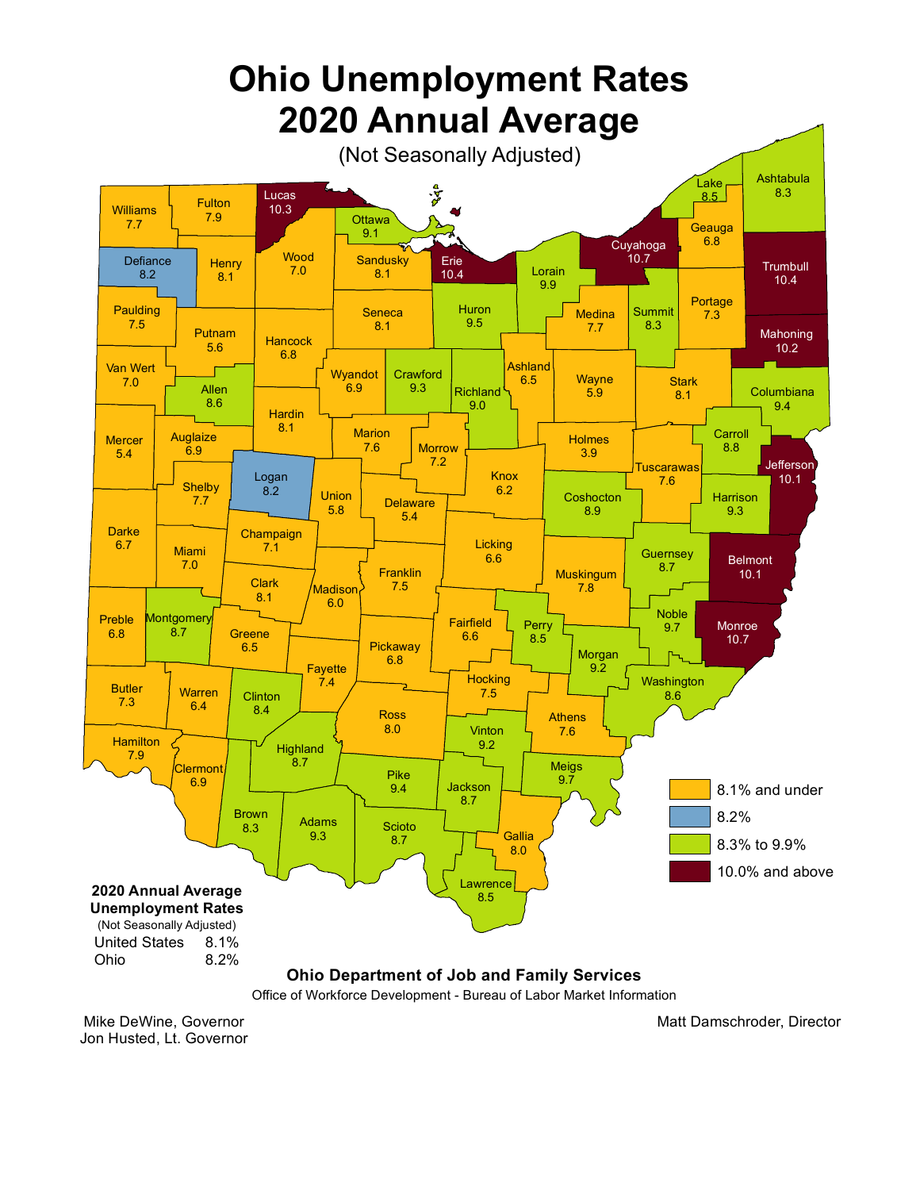

Mike DeWine, Governor Jon Husted, Lt. Governor Matt Damschroder, Director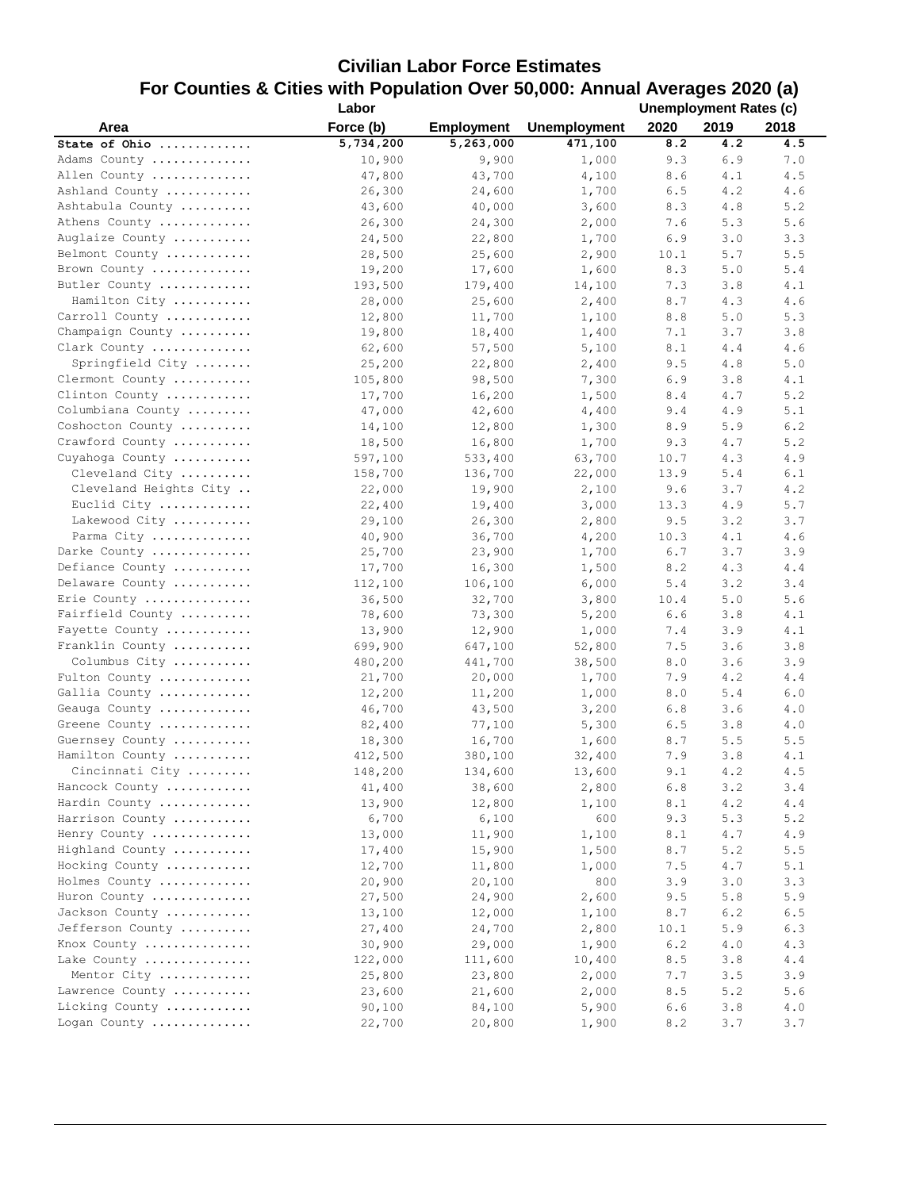## **Civilian Labor Force Estimates For Counties & Cities with Population Over 50,000: Annual Averages 2020 (a)**

|                        | Labor     |                   |                     | <b>Unemployment Rates (c)</b> |      |         |
|------------------------|-----------|-------------------|---------------------|-------------------------------|------|---------|
| Area                   | Force (b) | <b>Employment</b> | <b>Unemployment</b> | 2020                          | 2019 | 2018    |
| State of Ohio          | 5,734,200 | 5,263,000         | 471,100             | 8.2                           | 4.2  | 4.5     |
| Adams County           | 10,900    | 9,900             | 1,000               | 9.3                           | 6.9  | 7.0     |
| Allen County           | 47,800    | 43,700            | 4,100               | 8.6                           | 4.1  | 4.5     |
| Ashland County         | 26,300    | 24,600            | 1,700               | 6.5                           | 4.2  | 4.6     |
| Ashtabula County       | 43,600    | 40,000            | 3,600               | 8.3                           | 4.8  | 5.2     |
| Athens County          | 26,300    | 24,300            | 2,000               | 7.6                           | 5.3  | 5.6     |
| Auglaize County        | 24,500    | 22,800            | 1,700               | 6.9                           | 3.0  | 3.3     |
| Belmont County         | 28,500    | 25,600            | 2,900               | 10.1                          | 5.7  | 5.5     |
| Brown County           | 19,200    | 17,600            | 1,600               | 8.3                           | 5.0  | 5.4     |
| Butler County          | 193,500   | 179,400           | 14,100              | 7.3                           | 3.8  | 4.1     |
| Hamilton City          | 28,000    | 25,600            | 2,400               | 8.7                           | 4.3  | 4.6     |
| Carroll County         | 12,800    | 11,700            | 1,100               | 8.8                           | 5.0  | 5.3     |
| Champaign County       | 19,800    | 18,400            | 1,400               | 7.1                           | 3.7  | 3.8     |
| Clark County           | 62,600    | 57,500            | 5,100               | 8.1                           | 4.4  | 4.6     |
| Springfield City       | 25,200    | 22,800            | 2,400               | 9.5                           | 4.8  | 5.0     |
| Clermont County        | 105,800   | 98,500            | 7,300               | 6.9                           | 3.8  | 4.1     |
| Clinton County         | 17,700    | 16,200            | 1,500               | 8.4                           | 4.7  | 5.2     |
|                        |           |                   | 4,400               | 9.4                           | 4.9  | 5.1     |
| Columbiana County      | 47,000    | 42,600            |                     |                               |      |         |
| Coshocton County       | 14,100    | 12,800            | 1,300               | 8.9                           | 5.9  | $6.2\,$ |
| Crawford County        | 18,500    | 16,800            | 1,700               | 9.3                           | 4.7  | 5.2     |
| Cuyahoga County        | 597,100   | 533,400           | 63,700              | 10.7                          | 4.3  | 4.9     |
| Cleveland City         | 158,700   | 136,700           | 22,000              | 13.9                          | 5.4  | 6.1     |
| Cleveland Heights City | 22,000    | 19,900            | 2,100               | 9.6                           | 3.7  | 4.2     |
| Euclid City            | 22,400    | 19,400            | 3,000               | 13.3                          | 4.9  | 5.7     |
| Lakewood City          | 29,100    | 26,300            | 2,800               | 9.5                           | 3.2  | 3.7     |
| Parma City             | 40,900    | 36,700            | 4,200               | 10.3                          | 4.1  | 4.6     |
| Darke County           | 25,700    | 23,900            | 1,700               | 6.7                           | 3.7  | 3.9     |
| Defiance County        | 17,700    | 16,300            | 1,500               | 8.2                           | 4.3  | 4.4     |
| Delaware County        | 112,100   | 106,100           | 6,000               | 5.4                           | 3.2  | 3.4     |
| Erie County            | 36,500    | 32,700            | 3,800               | 10.4                          | 5.0  | 5.6     |
| Fairfield County       | 78,600    | 73,300            | 5,200               | 6.6                           | 3.8  | 4.1     |
| Fayette County         | 13,900    | 12,900            | 1,000               | 7.4                           | 3.9  | 4.1     |
| Franklin County        | 699,900   | 647,100           | 52,800              | 7.5                           | 3.6  | 3.8     |
| Columbus City          | 480,200   | 441,700           | 38,500              | 8.0                           | 3.6  | 3.9     |
| Fulton County          | 21,700    | 20,000            | 1,700               | 7.9                           | 4.2  | 4.4     |
| Gallia County          | 12,200    | 11,200            | 1,000               | 8.0                           | 5.4  | 6.0     |
| Geauga County          | 46,700    | 43,500            | 3,200               | 6.8                           | 3.6  | 4.0     |
| Greene County          | 82,400    | 77,100            | 5,300               | 6.5                           | 3.8  | 4.0     |
| Guernsey County        | 18,300    | 16,700            | 1,600               | 8.7                           | 5.5  | 5.5     |
| Hamilton County        | 412,500   | 380,100           | 32,400              | 7.9                           | 3.8  | 4.1     |
| Cincinnati City        | 148,200   | 134,600           | 13,600              | 9.1                           | 4.2  | 4.5     |
| Hancock County         | 41,400    | 38,600            | 2,800               | $6.8$                         | 3.2  | 3.4     |
| Hardin County          | 13,900    | 12,800            | 1,100               | 8.1                           | 4.2  | 4.4     |
| Harrison County        | 6,700     | 6,100             | 600                 | 9.3                           | 5.3  | 5.2     |
| Henry County           | 13,000    | 11,900            | 1,100               | 8.1                           | 4.7  | 4.9     |
| Highland County        | 17,400    | 15,900            | 1,500               | 8.7                           | 5.2  | 5.5     |
| Hocking County         | 12,700    | 11,800            | 1,000               | 7.5                           | 4.7  | 5.1     |
| Holmes County          | 20,900    | 20,100            | 800                 | 3.9                           | 3.0  | 3.3     |
| Huron County           | 27,500    | 24,900            | 2,600               | 9.5                           | 5.8  | 5.9     |
| Jackson County         | 13,100    | 12,000            | 1,100               | $8\,$ . $7\,$                 | 6.2  | 6.5     |
| Jefferson County       | 27,400    | 24,700            | 2,800               | 10.1                          | 5.9  | 6.3     |
| Knox County            | 30,900    | 29,000            | 1,900               | 6.2                           | 4.0  | 4.3     |
| Lake County            | 122,000   | 111,600           | 10,400              | 8.5                           | 3.8  | 4.4     |
| Mentor City            | 25,800    | 23,800            | 2,000               | 7.7                           | 3.5  | 3.9     |
| Lawrence County        |           | 21,600            |                     |                               | 5.2  |         |
| Licking County         | 23,600    |                   | 2,000               | 8.5                           |      | 5.6     |
|                        | 90,100    | 84,100            | 5,900               | 6.6                           | 3.8  | 4.0     |
| Logan County           | 22,700    | 20,800            | 1,900               | 8.2                           | 3.7  | 3.7     |